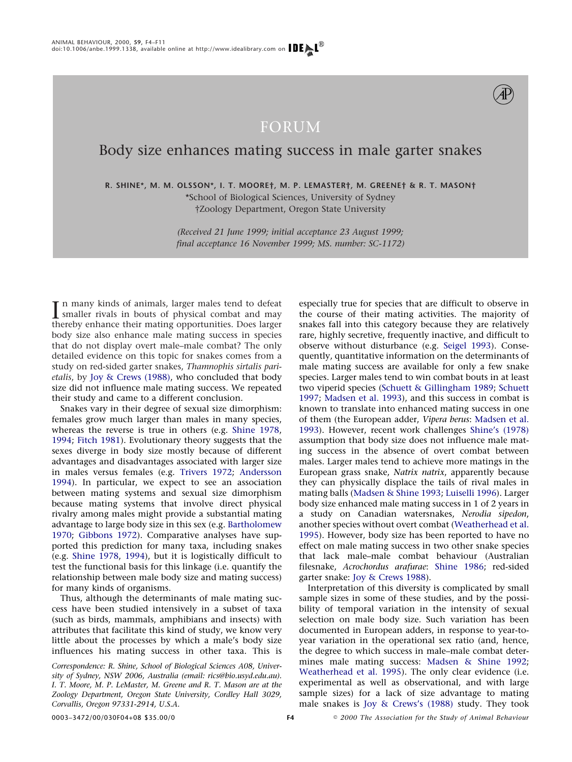

# Body size enhances mating success in male garter snakes

**R. SHINE\*, M. M. OLSSON\*, I. T. MOORE†, M. P. LEMASTER†, M. GREENE† & R. T. MASON†** \*School of Biological Sciences, University of Sydney

†Zoology Department, Oregon State University

*(Received 21 June 1999; initial acceptance 23 August 1999; final acceptance 16 November 1999; MS. number: SC-1172)*

In many kinds of animals, larger males tend to defeat<br>smaller rivals in bouts of physical combat and may<br>thereby enhance their mating opportunities. Does larger n many kinds of animals, larger males tend to defeat thereby enhance their mating opportunities. Does larger body size also enhance male mating success in species that do not display overt male–male combat? The only detailed evidence on this topic for snakes comes from a study on red-sided garter snakes, *Thamnophis sirtalis parietalis*, by [Joy & Crews \(1988\),](#page-6-0) who concluded that body size did not influence male mating success. We repeated their study and came to a different conclusion.

Snakes vary in their degree of sexual size dimorphism: females grow much larger than males in many species, whereas the reverse is true in others (e.g. [Shine 1978,](#page-6-1) [1994;](#page-6-2) [Fitch 1981\)](#page-6-3). Evolutionary theory suggests that the sexes diverge in body size mostly because of different advantages and disadvantages associated with larger size in males versus females (e.g. [Trivers 1972;](#page-7-0) [Andersso](#page-6-4)n [1994\)](#page-6-4). In particular, we expect to see an association between mating systems and sexual size dimorphism because mating systems that involve direct physical rivalry among males might provide a substantial mating advantage to large body size in this sex (e.g. [Bartholomew](#page-6-5) [1970;](#page-6-5) [Gibbons 1972\)](#page-6-6). Comparative analyses have supported this prediction for many taxa, including snakes (e.g. [Shine 1978,](#page-6-7) [1994\)](#page-6-2), but it is logistically difficult to test the functional basis for this linkage (i.e. quantify the relationship between male body size and mating success) for many kinds of organisms.

Thus, although the determinants of male mating success have been studied intensively in a subset of taxa (such as birds, mammals, amphibians and insects) with attributes that facilitate this kind of study, we know very little about the processes by which a male's body size influences his mating success in other taxa. This is

*Correspondence: R. Shine, School of Biological Sciences A08, University of Sydney, NSW 2006, Australia (email: rics@bio.usyd.edu.au). I. T. Moore, M. P. LeMaster, M. Greene and R. T. Mason are at the Zoology Department, Oregon State University, Cordley Hall 3029, Corvallis, Oregon 97331-2914, U.S.A.*

especially true for species that are difficult to observe in the course of their mating activities. The majority of snakes fall into this category because they are relatively rare, highly secretive, frequently inactive, and difficult to observe without disturbance (e.g. [Seigel 1993\)](#page-6-8). Consequently, quantitative information on the determinants of male mating success are available for only a few snake species. Larger males tend to win combat bouts in at least two viperid species [\(Schuett & Gillingham 1989;](#page-6-9) [Schuet](#page-6-10)t [1997;](#page-6-10) [Madsen et al. 1993\)](#page-6-11), and this success in combat is known to translate into enhanced mating success in one of them (the European adder, *Vipera berus*: [Madsen et a](#page-6-11)l. [1993\)](#page-6-11). However, recent work challenges [Shine's \(1978\)](#page-6-7) assumption that body size does not influence male mating success in the absence of overt combat between males. Larger males tend to achieve more matings in the European grass snake, *Natrix natrix*, apparently because they can physically displace the tails of rival males in mating balls [\(Madsen & Shine 1993;](#page-6-12) [Luiselli 1996\)](#page-6-13). Larger body size enhanced male mating success in 1 of 2 years in a study on Canadian watersnakes, *Nerodia sipedon*, another species without overt combat [\(Weatherhead et a](#page-7-1)l. [1995\)](#page-7-1). However, body size has been reported to have no effect on male mating success in two other snake species that lack male–male combat behaviour (Australian filesnake, *Acrochordus arafurae*: [Shine 1986;](#page-6-1) red-sided garter snake: [Joy & Crews 1988\)](#page-6-0).

Interpretation of this diversity is complicated by small sample sizes in some of these studies, and by the possibility of temporal variation in the intensity of sexual selection on male body size. Such variation has been documented in European adders, in response to year-toyear variation in the operational sex ratio (and, hence, the degree to which success in male–male combat determines male mating success: [Madsen & Shine 1992;](#page-6-14) [Weatherhead et al. 1995\)](#page-7-1). The only clear evidence (i.e. experimental as well as observational, and with large sample sizes) for a lack of size advantage to mating male snakes is [Joy & Crews's \(1988\)](#page-6-0) study. They took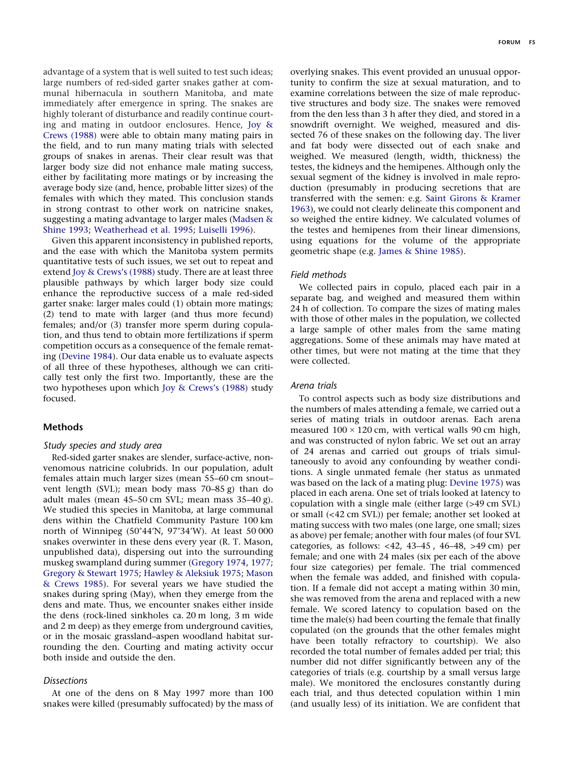**FORUM F5**

advantage of a system that is well suited to test such ideas; large numbers of red-sided garter snakes gather at communal hibernacula in southern Manitoba, and mate immediately after emergence in spring. The snakes are highly tolerant of disturbance and readily continue courting and mating in outdoor enclosures. Hence, [Joy &](#page-6-0) [Crews \(1988\)](#page-6-0) were able to obtain many mating pairs in the field, and to run many mating trials with selected groups of snakes in arenas. Their clear result was that larger body size did not enhance male mating success, either by facilitating more matings or by increasing the average body size (and, hence, probable litter sizes) of the females with which they mated. This conclusion stands in strong contrast to other work on natricine snakes, suggesting a mating advantage to larger males [\(Madsen &](#page-6-12) S[hine 1993;](#page-6-12) [Weatherhead et al. 1995;](#page-7-1) [Luiselli 1996\)](#page-6-13).

Given this apparent inconsistency in published reports, and the ease with which the Manitoba system permits quantitative tests of such issues, we set out to repeat and extend [Joy & Crews's \(1988\)](#page-6-0) study. There are at least three plausible pathways by which larger body size could enhance the reproductive success of a male red-sided garter snake: larger males could (1) obtain more matings; (2) tend to mate with larger (and thus more fecund) females; and/or (3) transfer more sperm during copulation, and thus tend to obtain more fertilizations if sperm competition occurs as a consequence of the female remating [\(Devine 1984\)](#page-6-15). Our data enable us to evaluate aspects of all three of these hypotheses, although we can critically test only the first two. Importantly, these are the two hypotheses upon which [Joy & Crews's \(1988\)](#page-6-0) study focused.

# **Methods**

## *Study species and study area*

Red-sided garter snakes are slender, surface-active, nonvenomous natricine colubrids. In our population, adult females attain much larger sizes (mean 55–60 cm snout– vent length (SVL); mean body mass 70–85 g) than do adult males (mean 45–50 cm SVL; mean mass 35–40 g). We studied this species in Manitoba, at large communal dens within the Chatfield Community Pasture 100 km north of Winnipeg (50°44'N, 97°34'W). At least 50 000 snakes overwinter in these dens every year (R. T. Mason, unpublished data), dispersing out into the surrounding muskeg swampland during summer [\(Gregory 1974,](#page-6-16) [1977;](#page-6-17) [Gregory & Stewart 1975;](#page-6-18) [Hawley & Aleksiuk 1975;](#page-6-19) [Mason](#page-6-20) [& Crews 1985\)](#page-6-20). For several years we have studied the snakes during spring (May), when they emerge from the dens and mate. Thus, we encounter snakes either inside the dens (rock-lined sinkholes ca. 20 m long, 3 m wide and 2 m deep) as they emerge from underground cavities, or in the mosaic grassland–aspen woodland habitat surrounding the den. Courting and mating activity occur both inside and outside the den.

## *Dissections*

At one of the dens on 8 May 1997 more than 100 snakes were killed (presumably suffocated) by the mass of overlying snakes. This event provided an unusual opportunity to confirm the size at sexual maturation, and to examine correlations between the size of male reproductive structures and body size. The snakes were removed from the den less than 3 h after they died, and stored in a snowdrift overnight. We weighed, measured and dissected 76 of these snakes on the following day. The liver and fat body were dissected out of each snake and weighed. We measured (length, width, thickness) the testes, the kidneys and the hemipenes. Although only the sexual segment of the kidney is involved in male reproduction (presumably in producing secretions that are transferred with the semen: e.g. [Saint Girons & Kramer](#page-6-21) 1[963\)](#page-6-21), we could not clearly delineate this component and so weighed the entire kidney. We calculated volumes of the testes and hemipenes from their linear dimensions, using equations for the volume of the appropriate geometric shape (e.g. [James & Shine 1985\)](#page-6-22).

# *Field methods*

We collected pairs in copulo, placed each pair in a separate bag, and weighed and measured them within 24 h of collection. To compare the sizes of mating males with those of other males in the population, we collected a large sample of other males from the same mating aggregations. Some of these animals may have mated at other times, but were not mating at the time that they were collected.

#### *Arena trials*

To control aspects such as body size distributions and the numbers of males attending a female, we carried out a series of mating trials in outdoor arenas. Each arena measured  $100 \times 120$  cm, with vertical walls 90 cm high, and was constructed of nylon fabric. We set out an array of 24 arenas and carried out groups of trials simultaneously to avoid any confounding by weather conditions. A single unmated female (her status as unmated was based on the lack of a mating plug: [Devine 1975\)](#page-6-23) was placed in each arena. One set of trials looked at latency to copulation with a single male (either large (>49 cm SVL) or small (<42 cm SVL)) per female; another set looked at mating success with two males (one large, one small; sizes as above) per female; another with four males (of four SVL categories, as follows: <42, 43–45 , 46–48, >49 cm) per female; and one with 24 males (six per each of the above four size categories) per female. The trial commenced when the female was added, and finished with copulation. If a female did not accept a mating within 30 min, she was removed from the arena and replaced with a new female. We scored latency to copulation based on the time the male(s) had been courting the female that finally copulated (on the grounds that the other females might have been totally refractory to courtship). We also recorded the total number of females added per trial; this number did not differ significantly between any of the categories of trials (e.g. courtship by a small versus large male). We monitored the enclosures constantly during each trial, and thus detected copulation within 1 min (and usually less) of its initiation. We are confident that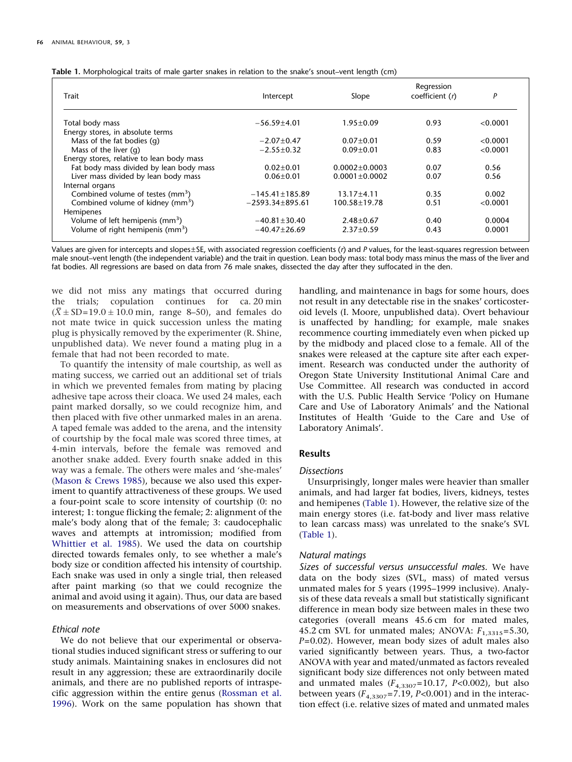| Trait                                        | Intercept            | Slope               | Regression<br>coefficient (r) | P        |  |
|----------------------------------------------|----------------------|---------------------|-------------------------------|----------|--|
| Total body mass                              | $-56.59 \pm 4.01$    | $1.95 \pm 0.09$     | 0.93                          | < 0.0001 |  |
| Energy stores, in absolute terms             |                      |                     |                               |          |  |
| Mass of the fat bodies (q)                   | $-2.07 \pm 0.47$     | $0.07 + 0.01$       | 0.59                          | < 0.0001 |  |
| Mass of the liver $(q)$                      | $-2.55 \pm 0.32$     | $0.09 + 0.01$       | 0.83                          | < 0.0001 |  |
| Energy stores, relative to lean body mass    |                      |                     |                               |          |  |
| Fat body mass divided by lean body mass      | $0.02 \pm 0.01$      | $0.0002 \pm 0.0003$ | 0.07                          | 0.56     |  |
| Liver mass divided by lean body mass         | $0.06 \pm 0.01$      | $0.0001 \pm 0.0002$ | 0.07                          | 0.56     |  |
| Internal organs                              |                      |                     |                               |          |  |
| Combined volume of testes (mm <sup>3</sup> ) | $-145.41 \pm 185.89$ | $13.17 \pm 4.11$    | 0.35                          | 0.002    |  |
| Combined volume of kidney (mm <sup>3</sup> ) | $-2593.34\pm895.61$  | 100.58±19.78        | 0.51                          | < 0.0001 |  |
| Hemipenes                                    |                      |                     |                               |          |  |
| Volume of left hemipenis (mm <sup>3</sup> )  | $-40.81 \pm 30.40$   | $2.48 \pm 0.67$     | 0.40                          | 0.0004   |  |
| Volume of right hemipenis (mm <sup>3</sup> ) | $-40.47 \pm 26.69$   | $2.37 \pm 0.59$     | 0.43                          | 0.0001   |  |

<span id="page-2-0"></span>

|  |  | Table 1. Morphological traits of male garter snakes in relation to the snake's snout-vent length (cm) |
|--|--|-------------------------------------------------------------------------------------------------------|
|  |  |                                                                                                       |

Values are given for intercepts and slopes±SE, with associated regression coefficients (*r*) and *P* values, for the least-squares regression between male snout–vent length (the independent variable) and the trait in question. Lean body mass: total body mass minus the mass of the liver and fat bodies. All regressions are based on data from 76 male snakes, dissected the day after they suffocated in the den.

we did not miss any matings that occurred during the trials; copulation continues for ca. 20 min  $(\overline{X} \pm SD=19.0\pm10.0$  min, range 8–50), and females do not mate twice in quick succession unless the mating plug is physically removed by the experimenter (R. Shine, unpublished data). We never found a mating plug in a female that had not been recorded to mate.

To quantify the intensity of male courtship, as well as mating success, we carried out an additional set of trials in which we prevented females from mating by placing adhesive tape across their cloaca. We used 24 males, each paint marked dorsally, so we could recognize him, and then placed with five other unmarked males in an arena. A taped female was added to the arena, and the intensity of courtship by the focal male was scored three times, at 4-min intervals, before the female was removed and another snake added. Every fourth snake added in this way was a female. The others were males and 'she-males' [\(Mason & Crews 1985\)](#page-6-20), because we also used this experiment to quantify attractiveness of these groups. We used a four-point scale to score intensity of courtship (0: no interest; 1: tongue flicking the female; 2: alignment of the male's body along that of the female; 3: caudocephalic waves and attempts at intromission; modified from [Whittier et al. 1985\)](#page-7-0). We used the data on courtship directed towards females only, to see whether a male's body size or condition affected his intensity of courtship. Each snake was used in only a single trial, then released after paint marking (so that we could recognize the animal and avoid using it again). Thus, our data are based on measurements and observations of over 5000 snakes.

## *Ethical note*

We do not believe that our experimental or observational studies induced significant stress or suffering to our study animals. Maintaining snakes in enclosures did not result in any aggression; these are extraordinarily docile animals, and there are no published reports of intraspecific aggression within the entire genus [\(Rossman et a](#page-6-24)l. [1996\)](#page-6-24). Work on the same population has shown that handling, and maintenance in bags for some hours, does not result in any detectable rise in the snakes' corticosteroid levels (I. Moore, unpublished data). Overt behaviour is unaffected by handling; for example, male snakes recommence courting immediately even when picked up by the midbody and placed close to a female. All of the snakes were released at the capture site after each experiment. Research was conducted under the authority of Oregon State University Institutional Animal Care and Use Committee. All research was conducted in accord with the U.S. Public Health Service 'Policy on Humane Care and Use of Laboratory Animals' and the National Institutes of Health 'Guide to the Care and Use of Laboratory Animals'.

#### **Results**

#### *Dissections*

Unsurprisingly, longer males were heavier than smaller animals, and had larger fat bodies, livers, kidneys, testes and hemipenes [\(Table 1\)](#page-2-0). However, the relative size of the main energy stores (i.e. fat-body and liver mass relative to lean carcass mass) was unrelated to the snake's SVL [\(Table 1\)](#page-2-0).

# *Natural matings*

*Sizes of successful versus unsuccessful males.* We have data on the body sizes (SVL, mass) of mated versus unmated males for 5 years (1995–1999 inclusive). Analysis of these data reveals a small but statistically significant difference in mean body size between males in these two categories (overall means 45.6 cm for mated males, 45.2 cm SVL for unmated males; ANOVA:  $F_{1,3315}$ =5.30, *P*=0.02). However, mean body sizes of adult males also varied significantly between years. Thus, a two-factor ANOVA with year and mated/unmated as factors revealed significant body size differences not only between mated and unmated males (*F*4,3307=10.17, *P<*0.002), but also between years  $(F_{4,3307}=7.19, P<0.001)$  and in the interaction effect (i.e. relative sizes of mated and unmated males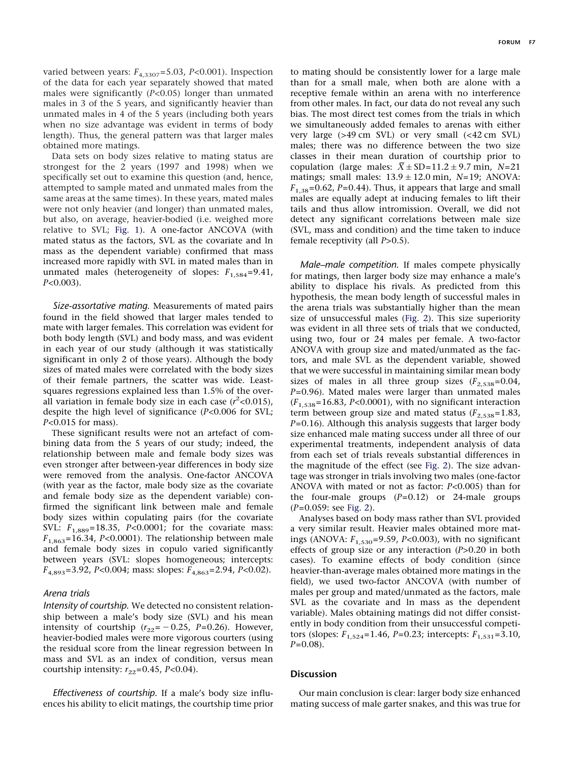varied between years:  $F_{4,3307}$ =5.03, *P*<0.001). Inspection of the data for each year separately showed that mated males were significantly (*P<*0.05) longer than unmated males in 3 of the 5 years, and significantly heavier than unmated males in 4 of the 5 years (including both years when no size advantage was evident in terms of body length). Thus, the general pattern was that larger males obtained more matings.

Data sets on body sizes relative to mating status are strongest for the 2 years (1997 and 1998) when we specifically set out to examine this question (and, hence, attempted to sample mated and unmated males from the same areas at the same times). In these years, mated males were not only heavier (and longer) than unmated males, but also, on average, heavier-bodied (i.e. weighed more relative to SVL; [Fig. 1\)](#page-4-0). A one-factor ANCOVA (with mated status as the factors, SVL as the covariate and ln mass as the dependent variable) confirmed that mass increased more rapidly with SVL in mated males than in unmated males (heterogeneity of slopes:  $F_{1,584}$ =9.41, *P<*0.003).

*Size-assortative mating.* Measurements of mated pairs found in the field showed that larger males tended to mate with larger females. This correlation was evident for both body length (SVL) and body mass, and was evident in each year of our study (although it was statistically significant in only 2 of those years). Although the body sizes of mated males were correlated with the body sizes of their female partners, the scatter was wide. Leastsquares regressions explained less than 1.5% of the overall variation in female body size in each case  $(r^2<0.015)$ , despite the high level of significance (*P<*0.006 for SVL; *P<*0.015 for mass).

These significant results were not an artefact of combining data from the 5 years of our study; indeed, the relationship between male and female body sizes was even stronger after between-year differences in body size were removed from the analysis. One-factor ANCOVA (with year as the factor, male body size as the covariate and female body size as the dependent variable) confirmed the significant link between male and female body sizes within copulating pairs (for the covariate SVL: *F*1,889=18.35, *P<*0.0001; for the covariate mass:  $F_{1.863}$ =16.34, *P<*0.0001). The relationship between male and female body sizes in copulo varied significantly between years (SVL: slopes homogeneous; intercepts: *F*4,893=3.92, *P<*0.004; mass: slopes: *F*4,863=2.94, *P<*0.02).

#### *Arena trials*

*Intensity of courtship.* We detected no consistent relationship between a male's body size (SVL) and his mean intensity of courtship  $(r_{22}=-0.25, P=0.26)$ . However, heavier-bodied males were more vigorous courters (using the residual score from the linear regression between ln mass and SVL as an index of condition, versus mean courtship intensity:  $r_{22}=0.45$ , *P*<0.04).

*Effectiveness of courtship.* If a male's body size influences his ability to elicit matings, the courtship time prior to mating should be consistently lower for a large male than for a small male, when both are alone with a receptive female within an arena with no interference from other males. In fact, our data do not reveal any such bias. The most direct test comes from the trials in which we simultaneously added females to arenas with either very large (>49 cm SVL) or very small (<42 cm SVL) males; there was no difference between the two size classes in their mean duration of courtship prior to copulation (large males:  $\bar{X} \pm SD=11.2\pm9.7$  min, *N*=21 matings; small males:  $13.9 \pm 12.0$  min,  $N=19$ ; ANOVA:  $F_{1.38}{=}0.62, P{=}0.44$ ). Thus, it appears that large and small males are equally adept at inducing females to lift their tails and thus allow intromission. Overall, we did not detect any significant correlations between male size (SVL, mass and condition) and the time taken to induce female receptivity (all *P>*0.5).

*Male–male competition.* If males compete physically for matings, then larger body size may enhance a male's ability to displace his rivals. As predicted from this hypothesis, the mean body length of successful males in the arena trials was substantially higher than the mean size of unsuccessful males [\(Fig. 2\)](#page-4-1). This size superiority was evident in all three sets of trials that we conducted, using two, four or 24 males per female. A two-factor ANOVA with group size and mated/unmated as the factors, and male SVL as the dependent variable, showed that we were successful in maintaining similar mean body sizes of males in all three group sizes  $(F_{2,538}=0.04,$ *P*=0.96). Mated males were larger than unmated males (*F*1,538=16.83, *P<*0.0001), with no significant interaction term between group size and mated status  $(F_{2,538}=1.83)$ , *P*=0.16). Although this analysis suggests that larger body size enhanced male mating success under all three of our experimental treatments, independent analysis of data from each set of trials reveals substantial differences in the magnitude of the effect (see [Fig. 2\)](#page-4-1). The size advantage was stronger in trials involving two males (one-factor ANOVA with mated or not as factor: *P<*0.005) than for the four-male groups  $(P=0.12)$  or 24-male groups (*P*=0.059: see [Fig. 2\)](#page-4-1).

Analyses based on body mass rather than SVL provided a very similar result. Heavier males obtained more matings (ANOVA: *F*1,530=9.59, *P<*0.003), with no significant effects of group size or any interaction (*P>*0.20 in both cases). To examine effects of body condition (since heavier-than-average males obtained more matings in the field), we used two-factor ANCOVA (with number of males per group and mated/unmated as the factors, male SVL as the covariate and ln mass as the dependent variable). Males obtaining matings did not differ consistently in body condition from their unsuccessful competitors (slopes:  $F_{1,524}$ =1.46, *P*=0.23; intercepts:  $F_{1,531}$ =3.10, *P*=0.08).

# **Discussion**

Our main conclusion is clear: larger body size enhanced mating success of male garter snakes, and this was true for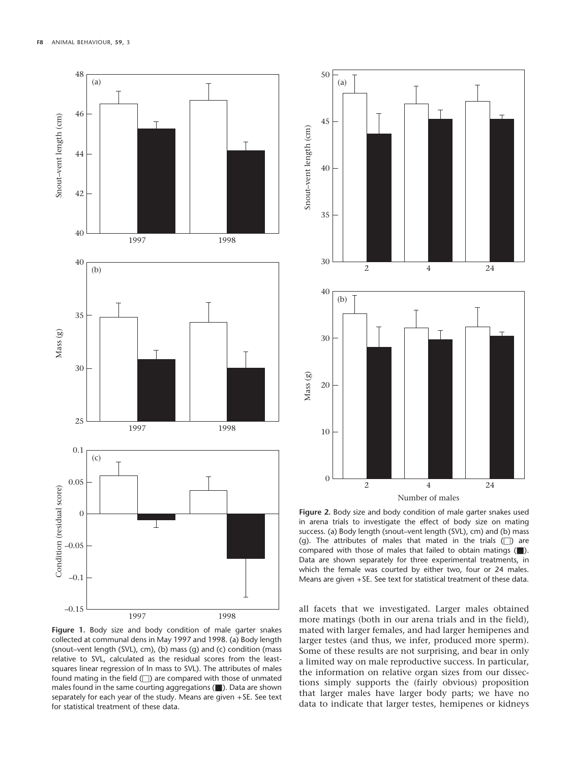<span id="page-4-0"></span>

**Figure 1.** Body size and body condition of male garter snakes collected at communal dens in May 1997 and 1998. (a) Body length (snout–vent length (SVL), cm), (b) mass (g) and (c) condition (mass relative to SVL, calculated as the residual scores from the leastsquares linear regression of ln mass to SVL). The attributes of males found mating in the field ( $\Box$ ) are compared with those of unmated males found in the same courting aggregations ( $\blacksquare$ ). Data are shown separately for each year of the study. Means are given +SE. See text for statistical treatment of these data.

<span id="page-4-1"></span>

**Figure 2.** Body size and body condition of male garter snakes used in arena trials to investigate the effect of body size on mating success. (a) Body length (snout–vent length (SVL), cm) and (b) mass (g). The attributes of males that mated in the trials  $(\Box)$  are compared with those of males that failed to obtain matings (...). Data are shown separately for three experimental treatments, in which the female was courted by either two, four or 24 males. Means are given +SE. See text for statistical treatment of these data.

all facets that we investigated. Larger males obtained more matings (both in our arena trials and in the field), mated with larger females, and had larger hemipenes and larger testes (and thus, we infer, produced more sperm). Some of these results are not surprising, and bear in only a limited way on male reproductive success. In particular, the information on relative organ sizes from our dissections simply supports the (fairly obvious) proposition that larger males have larger body parts; we have no data to indicate that larger testes, hemipenes or kidneys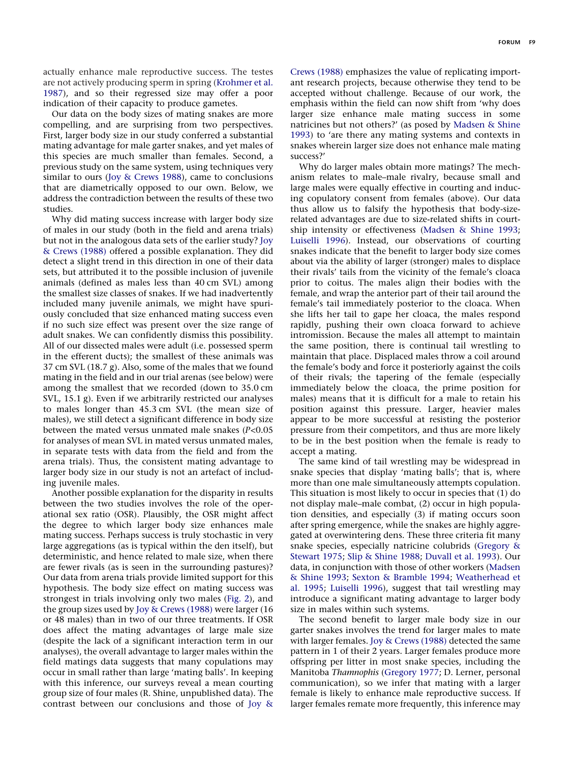actually enhance male reproductive success. The testes are not actively producing sperm in spring [\(Krohmer et al.](#page-6-25) [1987\)](#page-6-25), and so their regressed size may offer a poor indication of their capacity to produce gametes.

Our data on the body sizes of mating snakes are more compelling, and are surprising from two perspectives. First, larger body size in our study conferred a substantial mating advantage for male garter snakes, and yet males of this species are much smaller than females. Second, a previous study on the same system, using techniques very similar to ours [\(Joy & Crews 1988\)](#page-6-0), came to conclusions that are diametrically opposed to our own. Below, we address the contradiction between the results of these two studies.

Why did mating success increase with larger body size of males in our study (both in the field and arena trials) but not in the analogous data sets of the earlier study? [Joy](#page-6-0) [& Crews \(1988\)](#page-6-0) offered a possible explanation. They did detect a slight trend in this direction in one of their data sets, but attributed it to the possible inclusion of juvenile animals (defined as males less than 40 cm SVL) among the smallest size classes of snakes. If we had inadvertently included many juvenile animals, we might have spuriously concluded that size enhanced mating success even if no such size effect was present over the size range of adult snakes. We can confidently dismiss this possibility. All of our dissected males were adult (i.e. possessed sperm in the efferent ducts); the smallest of these animals was 37 cm SVL (18.7 g). Also, some of the males that we found mating in the field and in our trial arenas (see below) were among the smallest that we recorded (down to 35.0 cm SVL, 15.1 g). Even if we arbitrarily restricted our analyses to males longer than 45.3 cm SVL (the mean size of males), we still detect a significant difference in body size between the mated versus unmated male snakes (*P<*0.05 for analyses of mean SVL in mated versus unmated males, in separate tests with data from the field and from the arena trials). Thus, the consistent mating advantage to larger body size in our study is not an artefact of including juvenile males.

Another possible explanation for the disparity in results between the two studies involves the role of the operational sex ratio (OSR). Plausibly, the OSR might affect the degree to which larger body size enhances male mating success. Perhaps success is truly stochastic in very large aggregations (as is typical within the den itself), but deterministic, and hence related to male size, when there are fewer rivals (as is seen in the surrounding pastures)? Our data from arena trials provide limited support for this hypothesis. The body size effect on mating success was strongest in trials involving only two males [\(Fig. 2\)](#page-4-1), and the group sizes used by [Joy & Crews \(1988\)](#page-6-0) were larger (16 or 48 males) than in two of our three treatments. If OSR does affect the mating advantages of large male size (despite the lack of a significant interaction term in our analyses), the overall advantage to larger males within the field matings data suggests that many copulations may occur in small rather than large 'mating balls'. In keeping with this inference, our surveys reveal a mean courting group size of four males (R. Shine, unpublished data). The contrast between our conclusions and those of [Joy &](#page-6-0) [Crews \(1988\)](#page-6-0) emphasizes the value of replicating important research projects, because otherwise they tend to be accepted without challenge. Because of our work, the emphasis within the field can now shift from 'why does larger size enhance male mating success in some natricines but not others?' (as posed by [Madsen & Shine](#page-6-12) 1[993\)](#page-6-12) to 'are there any mating systems and contexts in snakes wherein larger size does not enhance male mating success?'

Why do larger males obtain more matings? The mechanism relates to male–male rivalry, because small and large males were equally effective in courting and inducing copulatory consent from females (above). Our data thus allow us to falsify the hypothesis that body-sizerelated advantages are due to size-related shifts in courtship intensity or effectiveness [\(Madsen & Shine 1993;](#page-6-12) L[uiselli 1996\)](#page-6-13). Instead, our observations of courting snakes indicate that the benefit to larger body size comes about via the ability of larger (stronger) males to displace their rivals' tails from the vicinity of the female's cloaca prior to coitus. The males align their bodies with the female, and wrap the anterior part of their tail around the female's tail immediately posterior to the cloaca. When she lifts her tail to gape her cloaca, the males respond rapidly, pushing their own cloaca forward to achieve intromission. Because the males all attempt to maintain the same position, there is continual tail wrestling to maintain that place. Displaced males throw a coil around the female's body and force it posteriorly against the coils of their rivals; the tapering of the female (especially immediately below the cloaca, the prime position for males) means that it is difficult for a male to retain his position against this pressure. Larger, heavier males appear to be more successful at resisting the posterior pressure from their competitors, and thus are more likely to be in the best position when the female is ready to accept a mating.

The same kind of tail wrestling may be widespread in snake species that display 'mating balls'; that is, where more than one male simultaneously attempts copulation. This situation is most likely to occur in species that (1) do not display male–male combat, (2) occur in high population densities, and especially (3) if mating occurs soon after spring emergence, while the snakes are highly aggregated at overwintering dens. These three criteria fit many snake species, especially natricine colubrids [\(Gregory &](#page-6-18) S[tewart 1975;](#page-6-18) [Slip & Shine 1988;](#page-6-26) [Duvall et al. 1993\)](#page-6-27). Our data, in conjunction with those of other workers [\(Madsen](#page-6-12) [& Shine 1993;](#page-6-12) [Sexton & Bramble 1994;](#page-6-28) [Weatherhead et](#page-7-0) a[l. 1995;](#page-7-0) [Luiselli 1996\)](#page-6-13), suggest that tail wrestling may introduce a significant mating advantage to larger body size in males within such systems.

The second benefit to larger male body size in our garter snakes involves the trend for larger males to mate with larger females. [Joy & Crews \(1988\)](#page-6-0) detected the same pattern in 1 of their 2 years. Larger females produce more offspring per litter in most snake species, including the Manitoba *Thamnophis* [\(Gregory 1977;](#page-6-17) D. Lerner, personal communication), so we infer that mating with a larger female is likely to enhance male reproductive success. If larger females remate more frequently, this inference may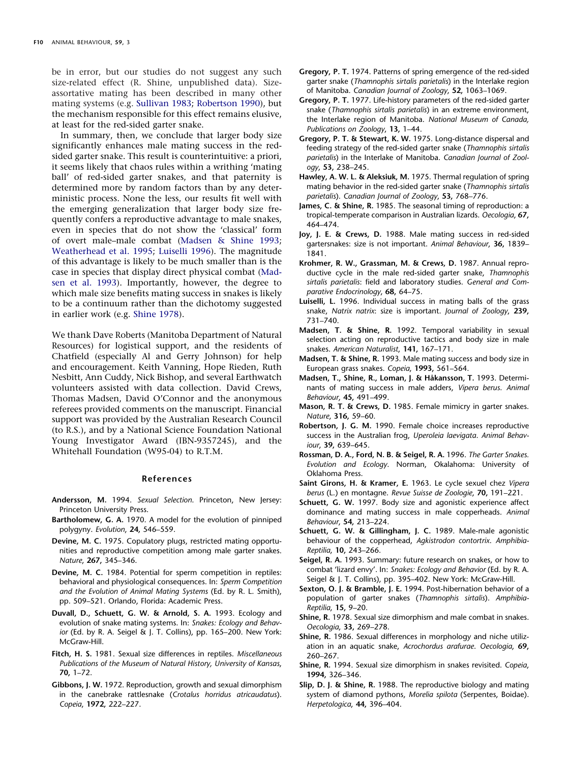be in error, but our studies do not suggest any such size-related effect (R. Shine, unpublished data). Sizeassortative mating has been described in many other mating systems (e.g. [Sullivan 1983;](#page-7-2) [Robertson 1990\)](#page-6-29), but the mechanism responsible for this effect remains elusive, at least for the red-sided garter snake.

In summary, then, we conclude that larger body size significantly enhances male mating success in the redsided garter snake. This result is counterintuitive: a priori, it seems likely that chaos rules within a writhing 'mating ball' of red-sided garter snakes, and that paternity is determined more by random factors than by any deterministic process. None the less, our results fit well with the emerging generalization that larger body size frequently confers a reproductive advantage to male snakes, even in species that do not show the 'classical' form of overt male–male combat [\(Madsen & Shine 1993;](#page-6-12) [Weatherhead et al. 1995;](#page-7-0) [Luiselli 1996\)](#page-6-13). The magnitude of this advantage is likely to be much smaller than is the case in species that display direct physical combat [\(Mad](#page-6-11)[sen et al. 1993\)](#page-6-11). Importantly, however, the degree to which male size benefits mating success in snakes is likely to be a continuum rather than the dichotomy suggested in earlier work (e.g. [Shine 1978\)](#page-6-7).

We thank Dave Roberts (Manitoba Department of Natural Resources) for logistical support, and the residents of Chatfield (especially Al and Gerry Johnson) for help and encouragement. Keith Vanning, Hope Rieden, Ruth Nesbitt, Ann Cuddy, Nick Bishop, and several Earthwatch volunteers assisted with data collection. David Crews, Thomas Madsen, David O'Connor and the anonymous referees provided comments on the manuscript. Financial support was provided by the Australian Research Council (to R.S.), and by a National Science Foundation National Young Investigator Award (IBN-9357245), and the Whitehall Foundation (W95-04) to R.T.M.

#### **References**

- <span id="page-6-4"></span>**Andersson, M.** 1994. *Sexual Selection*. Princeton, New Jersey: Princeton University Press.
- <span id="page-6-5"></span>**Bartholomew, G. A.** 1970. A model for the evolution of pinniped polygyny. *Evolution*, **24,** 546–559.
- <span id="page-6-23"></span>**Devine, M. C.** 1975. Copulatory plugs, restricted mating opportunities and reproductive competition among male garter snakes. *Nature*, **267,** 345–346.
- <span id="page-6-15"></span>**Devine, M. C.** 1984. Potential for sperm competition in reptiles: behavioral and physiological consequences. In: *Sperm Competition and the Evolution of Animal Mating Systems* (Ed. by R. L. Smith), pp. 509–521. Orlando, Florida: Academic Press.
- <span id="page-6-27"></span>**Duvall, D., Schuett, G. W. & Arnold, S. A.** 1993. Ecology and evolution of snake mating systems. In: *Snakes: Ecology and Behavior* (Ed. by R. A. Seigel & J. T. Collins), pp. 165–200. New York: McGraw-Hill.
- <span id="page-6-3"></span>**Fitch, H. S.** 1981. Sexual size differences in reptiles. *Miscellaneous Publications of the Museum of Natural History, University of Kansas*, **70,** 1–72.
- <span id="page-6-6"></span>**Gibbons, J. W.** 1972. Reproduction, growth and sexual dimorphism in the canebrake rattlesnake (*Crotalus horridus atricaudatus*). *Copeia*, **1972,** 222–227.
- <span id="page-6-16"></span>**Gregory, P. T.** 1974. Patterns of spring emergence of the red-sided garter snake (*Thamnophis sirtalis parietalis*) in the Interlake region of Manitoba. *Canadian Journal of Zoology*, **52,** 1063–1069.
- <span id="page-6-17"></span>**Gregory, P. T.** 1977. Life-history parameters of the red-sided garter snake (*Thamnophis sirtalis parietalis*) in an extreme environment, the Interlake region of Manitoba. *National Museum of Canada, Publications on Zoology*, **13,** 1–44.
- <span id="page-6-18"></span>**Gregory, P. T. & Stewart, K. W.** 1975. Long-distance dispersal and feeding strategy of the red-sided garter snake (*Thamnophis sirtalis parietalis*) in the Interlake of Manitoba. *Canadian Journal of Zoology*, **53,** 238–245.
- <span id="page-6-19"></span>**Hawley, A. W. L. & Aleksiuk, M.** 1975. Thermal regulation of spring mating behavior in the red-sided garter snake (*Thamnophis sirtalis parietalis*). *Canadian Journal of Zoology*, **53,** 768–776.
- <span id="page-6-22"></span>**James, C. & Shine, R.** 1985. The seasonal timing of reproduction: a tropical-temperate comparison in Australian lizards. *Oecologia*, **67,** 464–474.
- <span id="page-6-0"></span>**Joy, J. E. & Crews, D.** 1988. Male mating success in red-sided gartersnakes: size is not important. *Animal Behaviour*, **36,** 1839– 1841.
- <span id="page-6-25"></span>**Krohmer, R. W., Grassman, M. & Crews, D.** 1987. Annual reproductive cycle in the male red-sided garter snake, *Thamnophis sirtalis parietalis*: field and laboratory studies. *General and Comparative Endocrinology*, **68,** 64–75.
- <span id="page-6-13"></span>**Luiselli, L.** 1996. Individual success in mating balls of the grass snake, *Natrix natrix*: size is important. *Journal of Zoology*, **239,** 731–740.
- <span id="page-6-14"></span>**Madsen, T. & Shine, R.** 1992. Temporal variability in sexual selection acting on reproductive tactics and body size in male snakes. *American Naturalist*, **141,** 167–171.
- <span id="page-6-12"></span>**Madsen, T. & Shine, R.** 1993. Male mating success and body size in European grass snakes. *Copeia*, **1993,** 561–564.
- <span id="page-6-11"></span>**Madsen, T., Shine, R., Loman, J. & Ha˚kansson, T.** 1993. Determinants of mating success in male adders, *Vipera berus*. *Animal Behaviour*, **45,** 491–499.
- <span id="page-6-20"></span>**Mason, R. T. & Crews, D.** 1985. Female mimicry in garter snakes. *Nature*, **316,** 59–60.
- <span id="page-6-29"></span>**Robertson, J. G. M.** 1990. Female choice increases reproductive success in the Australian frog, *Uperoleia laevigata*. *Animal Behaviour*, **39,** 639–645.
- <span id="page-6-24"></span>**Rossman, D. A., Ford, N. B. & Seigel, R. A.** 1996. *The Garter Snakes. Evolution and Ecology*. Norman, Okalahoma: University of Oklahoma Press.
- <span id="page-6-21"></span>**Saint Girons, H. & Kramer, E.** 1963. Le cycle sexuel chez *Vipera berus* (L.) en montagne. *Revue Suisse de Zoologie*, **70,** 191–221.
- <span id="page-6-10"></span>**Schuett, G. W.** 1997. Body size and agonistic experience affect dominance and mating success in male copperheads. *Animal Behaviour*, **54,** 213–224.
- <span id="page-6-9"></span>**Schuett, G. W. & Gillingham, J. C.** 1989. Male-male agonistic behaviour of the copperhead, *Agkistrodon contortrix*. *Amphibia-Reptilia*, **10,** 243–266.
- <span id="page-6-8"></span>**Seigel, R. A.** 1993. Summary: future research on snakes, or how to combat 'lizard envy'. In: *Snakes: Ecology and Behavior* (Ed. by R. A. Seigel & J. T. Collins), pp. 395–402. New York: McGraw-Hill.
- <span id="page-6-28"></span>**Sexton, O. J. & Bramble, J. E.** 1994. Post-hibernation behavior of a population of garter snakes (*Thamnophis sirtalis*). *Amphibia-Reptilia*, **15,** 9–20.
- <span id="page-6-7"></span>**Shine, R.** 1978. Sexual size dimorphism and male combat in snakes. *Oecologia*, **33,** 269–278.
- <span id="page-6-1"></span>**Shine, R.** 1986. Sexual differences in morphology and niche utilization in an aquatic snake, *Acrochordus arafurae*. *Oecologia*, **69,** 260–267.
- <span id="page-6-2"></span>**Shine, R.** 1994. Sexual size dimorphism in snakes revisited. *Copeia*, **1994,** 326–346.
- <span id="page-6-26"></span>**Slip, D. J. & Shine, R.** 1988. The reproductive biology and mating system of diamond pythons, *Morelia spilota* (Serpentes, Boidae). *Herpetologica*, **44,** 396–404.